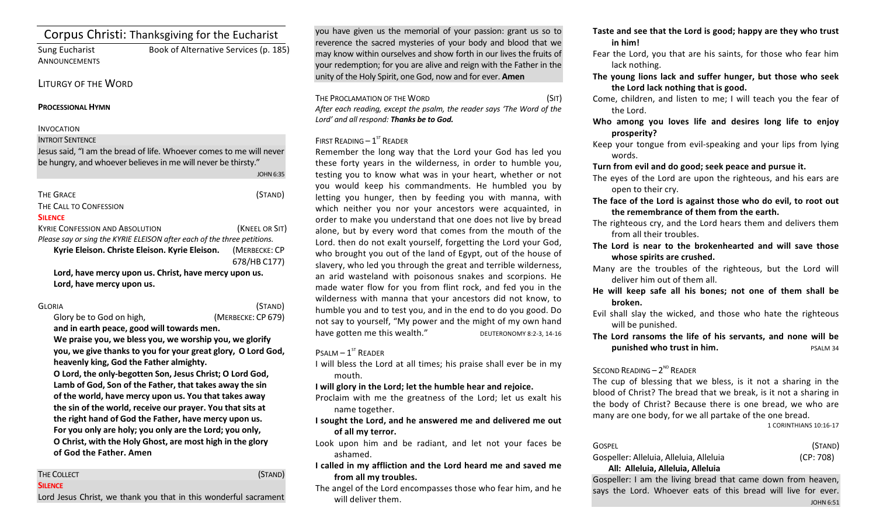# Corpus Christi: Thanksgiving for the Eucharist

**ANNOUNCEMENTS** 

Sung Eucharist Book of Alternative Services (p. 185)

# LITURGY OF THE WORD

### **PROCESSIONAL HYMN**

# INVOCATION

# **INTROIT SENTENCE**

Jesus said, "I am the bread of life. Whoever comes to me will never be hungry, and whoever believes in me will never be thirsty."

| <b>THE GRACE</b>                                                        | (STAND)        |  |
|-------------------------------------------------------------------------|----------------|--|
| THE CALL TO CONFESSION                                                  |                |  |
| <b>SILENCE</b>                                                          |                |  |
| <b>KYRIF CONFESSION AND ABSOLUTION</b>                                  | (KNEEL OR SIT) |  |
| Please say or sing the KYRIE ELEISON after each of the three petitions. |                |  |
| Kyrie Eleison. Christe Eleison. Kyrie Eleison.                          | (MERBECKE: CP  |  |
|                                                                         | 678/HB C177)   |  |
| Lord, have mercy upon us. Christ, have mercy upon us.                   |                |  |
| Lord, have mercy upon us.                                               |                |  |
|                                                                         |                |  |

| L<br>×<br>×<br>× |  |
|------------------|--|
|------------------|--|

# Glory be to God on high, *(MERBECKE: CP 679)*

 $(STAND)$ 

JOHN 6:35

and in earth peace, good will towards men.

We praise you, we bless you, we worship you, we glorify **you, we give thanks to you for your great glory, O Lord God,** heavenly king, God the Father almighty.

**O** Lord, the only-begotten Son, Jesus Christ; O Lord God, Lamb of God, Son of the Father, that takes away the sin of the world, have mercy upon us. You that takes away the sin of the world, receive our prayer. You that sits at the right hand of God the Father, have mercy upon us. For you only are holy; you only are the Lord; you only, **O** Christ, with the Holy Ghost, are most high in the glory of God the Father. Amen

| <b>THE COLLECT</b>                                               | (STAND) |
|------------------------------------------------------------------|---------|
| <b>SILENCE</b>                                                   |         |
| Lord Jesus Christ, we thank you that in this wonderful sacrament |         |

you have given us the memorial of your passion: grant us so to reverence the sacred mysteries of your body and blood that we may know within ourselves and show forth in our lives the fruits of your redemption; for you are alive and reign with the Father in the unity of the Holy Spirit, one God, now and for ever. **Amen** 

THE PROCLAMATION OF THE WORD (SIT) After each reading, except the psalm, the reader says 'The Word of the Lord' and all respond: Thanks be to God.

# FIRST READING  $-1<sup>ST</sup>$  READER

Remember the long way that the Lord your God has led you these forty years in the wilderness, in order to humble you, testing you to know what was in your heart, whether or not you would keep his commandments. He humbled you by letting you hunger, then by feeding you with manna, with which neither you nor your ancestors were acquainted, in order to make you understand that one does not live by bread alone, but by every word that comes from the mouth of the Lord. then do not exalt yourself, forgetting the Lord your God, who brought you out of the land of Egypt, out of the house of slavery, who led you through the great and terrible wilderness, an arid wasteland with poisonous snakes and scorpions. He made water flow for you from flint rock, and fed you in the wilderness with manna that your ancestors did not know, to humble you and to test you, and in the end to do you good. Do not say to yourself, "My power and the might of my own hand have gotten me this wealth." DEUTERONOMY 8:2-3, 14-16

# $P$ SALM  $-1$ <sup>ST</sup> READER

I will bless the Lord at all times; his praise shall ever be in my mouth.

# I will glory in the Lord; let the humble hear and rejoice.

Proclaim with me the greatness of the Lord; let us exalt his name together.

- **I** sought the Lord, and he answered me and delivered me out **of all my terror.**
- Look upon him and be radiant, and let not your faces be ashamed.
- **I** called in my affliction and the Lord heard me and saved me from all my troubles.
- The angel of the Lord encompasses those who fear him, and he will deliver them.
- Taste and see that the Lord is good; happy are they who trust **in him!**
- Fear the Lord, you that are his saints, for those who fear him lack nothing.
- The young lions lack and suffer hunger, but those who seek the Lord lack nothing that is good.
- Come, children, and listen to me; I will teach you the fear of the Lord.
- Who among you loves life and desires long life to enjoy **prosperity?**
- Keep your tongue from evil-speaking and your lips from lying words.
- Turn from evil and do good; seek peace and pursue it.
- The eyes of the Lord are upon the righteous, and his ears are open to their cry.
- The face of the Lord is against those who do evil, to root out **the remembrance of them from the earth.**
- The righteous cry, and the Lord hears them and delivers them from all their troubles.
- The Lord is near to the brokenhearted and will save those whose spirits are crushed.
- Many are the troubles of the righteous, but the Lord will deliver him out of them all.
- He will keep safe all his bones; not one of them shall be **broken.**
- Evil shall slay the wicked, and those who hate the righteous will be punished.
- The Lord ransoms the life of his servants, and none will be **punished who trust in him.** PSALM 34

# SECOND READING  $- 2^{ND}$  READER

The cup of blessing that we bless, is it not a sharing in the blood of Christ? The bread that we break, is it not a sharing in the body of Christ? Because there is one bread, we who are many are one body, for we all partake of the one bread.

1 CORINTHIANS 10:16-17

| GOSPEL                                  | (STAND)   |
|-----------------------------------------|-----------|
| Gospeller: Alleluia, Alleluia, Alleluia | (CP: 708) |
| All: Alleluia, Alleluia, Alleluia       |           |

Gospeller: I am the living bread that came down from heaven, says the Lord. Whoever eats of this bread will live for ever. JOHN 6:51